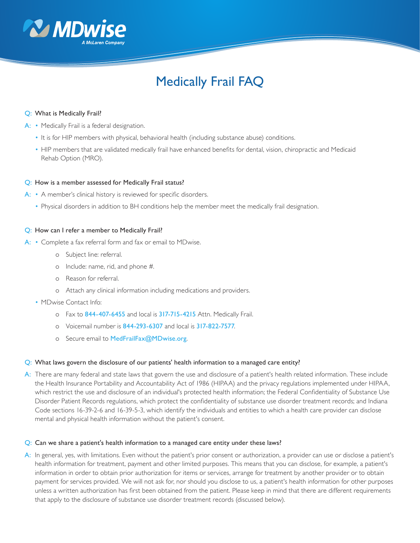

# Medically Frail FAQ

#### Q: What is Medically Frail?

- A: Medically Frail is a federal designation.
	- It is for HIP members with physical, behavioral health (including substance abuse) conditions.
	- HIP members that are validated medically frail have enhanced benefits for dental, vision, chiropractic and Medicaid Rehab Option (MRO).

#### Q: How is a member assessed for Medically Frail status?

- A: A member's clinical history is reviewed for specific disorders.
	- Physical disorders in addition to BH conditions help the member meet the medically frail designation.

#### Q: How can I refer a member to Medically Frail?

- A: Complete a fax referral form and fax or email to MDwise.
	- o Subject line: referral.
	- o Include: name, rid, and phone #.
	- o Reason for referral.
	- o Attach any clinical information including medications and providers.
	- MDwise Contact Info:
		- o Fax to 844-407-6455 and local is 317-715-4215 Attn. Medically Frail.
		- o Voicemail number is 844-293-6307 and local is 317-822-7577.
		- o Secure email to MedFrailFax@MDwise.org.

#### Q: What laws govern the disclosure of our patients' health information to a managed care entity?

A: There are many federal and state laws that govern the use and disclosure of a patient's health related information. These include the Health Insurance Portability and Accountability Act of 1986 (HIPAA) and the privacy regulations implemented under HIPAA, which restrict the use and disclosure of an individual's protected health information; the Federal Confidentiality of Substance Use Disorder Patient Records regulations, which protect the confidentiality of substance use disorder treatment records; and Indiana Code sections 16-39-2-6 and 16-39-5-3, which identify the individuals and entities to which a health care provider can disclose mental and physical health information without the patient's consent.

#### Q: Can we share a patient's health information to a managed care entity under these laws?

A: In general, yes, with limitations. Even without the patient's prior consent or authorization, a provider can use or disclose a patient's health information for treatment, payment and other limited purposes. This means that you can disclose, for example, a patient's information in order to obtain prior authorization for items or services, arrange for treatment by another provider or to obtain payment for services provided. We will not ask for, nor should you disclose to us, a patient's health information for other purposes unless a written authorization has first been obtained from the patient. Please keep in mind that there are different requirements that apply to the disclosure of substance use disorder treatment records (discussed below).